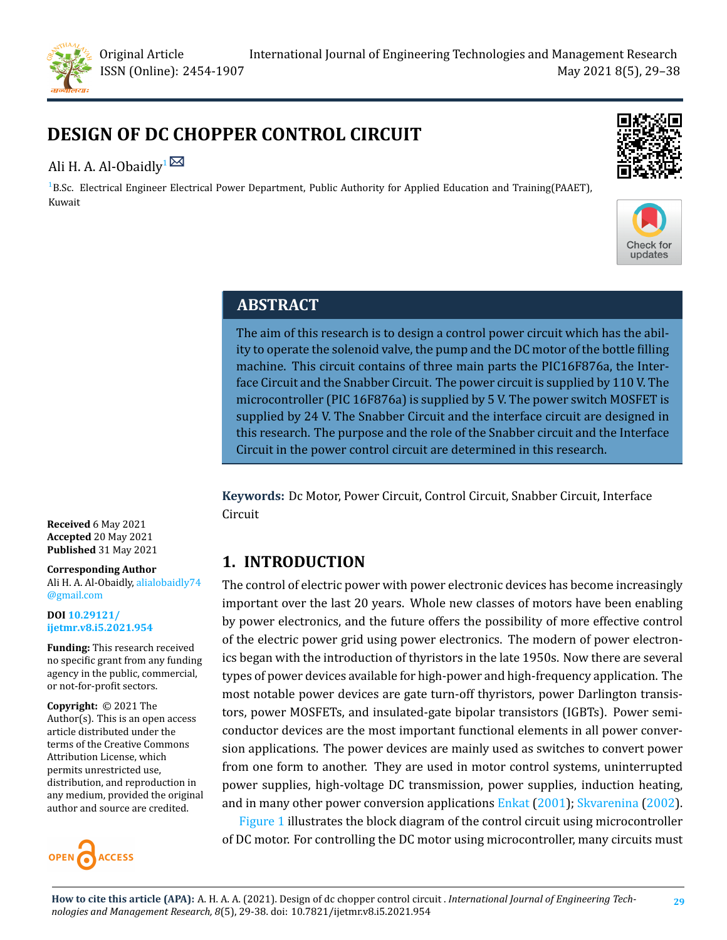

# **DESIGN OF DC CHOPPER CONTROL CIRCUIT**

# Ali H. A. Al-Obaidly<sup>1 $\boxtimes$ </sup>

 ${}^{1}$ B.Sc. Electrical Engineer Electrical Power Department, Public Authority for Applied Education and Training(PAAET), Kuwait





# **ABSTRACT**

The aim of this research is to design a control power circuit which has the ability to operate the solenoid valve, the pump and the DC motor of the bottle filling machine. This circuit contains of three main parts the PIC16F876a, the Interface Circuit and the Snabber Circuit. The power circuit is supplied by 110 V. The microcontroller (PIC 16F876a) is supplied by 5 V. The power switch MOSFET is supplied by 24 V. The Snabber Circuit and the interface circuit are designed in this research. The purpose and the role of the Snabber circuit and the Interface Circuit in the power control circuit are determined in this research.

**Keywords:** Dc Motor, Power Circuit, Control Circuit, Snabber Circuit, Interface Circuit

# **1. INTRODUCTION**

The control of electric power with power electronic devices has become increasingly important over the last 20 years. Whole new classes of motors have been enabling by power electronics, and the future offers the possibility of more effective control of the electric power grid using power electronics. The modern of power electronics began with the introduction of thyristors in the late 1950s. Now there are several types of power devices available for high-power and high-frequency application. The most notable power devices are gate turn-off thyristors, power Darlington transistors, power MOSFETs, and insulated-gate bipolar transistors (IGBTs). Power semiconductor devices are the most important functional elements in all power conversion applications. The power devices are mainly used as switches to convert power from one form to another. They are used in motor control systems, uninterrupted power supplies, high-voltage DC transmission, power supplies, induction heating, and in many other power conversion applications [Enkat](#page-9-0) ([2001\)](#page-9-0); [Skvarenina](#page-9-1) ([2002\)](#page-9-1).

Figure [1](#page-1-0) illustrates the block diagram of the control circuit using microcontroller of DC motor. For controlling the DC motor using microcontroller, many circuits must

**Received** 6 May 2021 **Accepted** 20 May 2021 **Published** 31 May 2021

**Corresponding Author** Ali H. A. Al-Obaidly, [alialobaidly74](alialobaidly74@gmail.com) [@gmail.com](alialobaidly74@gmail.com)

**DOI [10.29121/](https://doi.org/10.29121/ijetmr.v8.i5.2021.954) [ijetmr.v8.i5.2021.954](https://doi.org/10.29121/ijetmr.v8.i5.2021.954)**

**Funding:** This research received no specific grant from any funding agency in the public, commercial, or not-for-profit sectors.

**Copyright:** © 2021 The Author(s). This is an open access article distributed under the terms of the Creative Commons Attribution License, which permits unrestricted use, distribution, and reproduction in any medium, provided the original author and source are credited.

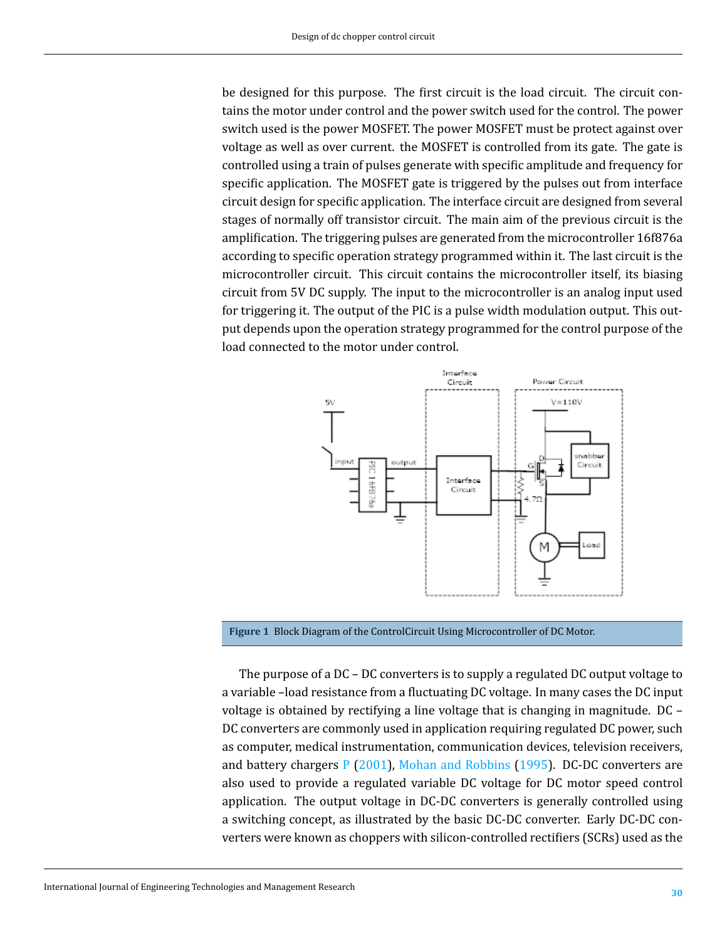be designed for this purpose. The first circuit is the load circuit. The circuit contains the motor under control and the power switch used for the control. The power switch used is the power MOSFET. The power MOSFET must be protect against over voltage as well as over current. the MOSFET is controlled from its gate. The gate is controlled using a train of pulses generate with specific amplitude and frequency for specific application. The MOSFET gate is triggered by the pulses out from interface circuit design for specific application. The interface circuit are designed from several stages of normally off transistor circuit. The main aim of the previous circuit is the amplification. The triggering pulses are generated from the microcontroller 16f876a according to specific operation strategy programmed within it. The last circuit is the microcontroller circuit. This circuit contains the microcontroller itself, its biasing circuit from 5V DC supply. The input to the microcontroller is an analog input used for triggering it. The output of the PIC is a pulse width modulation output. This output depends upon the operation strategy programmed for the control purpose of the load connected to the motor under control.

<span id="page-1-0"></span>

**Figure 1** Block Diagram of the ControlCircuit Using Microcontroller of DC Motor.

The purpose of a DC – DC converters is to supply a regulated DC output voltage to a variable -load resistance from a fluctuating DC voltage. In many cases the DC input voltage is obtained by rectifying a line voltage that is changing in magnitude. DC – DC converters are commonly used in application requiring regulated DC power, such as computer, medical instrumentation, communication devices, television receivers, and battery chargers [P](#page-9-2) [\(2001](#page-9-2)), [Mohan and Robbins](#page-9-3) [\(1995\)](#page-9-3). DC-DC converters are also used to provide a regulated variable DC voltage for DC motor speed control application. The output voltage in DC-DC converters is generally controlled using a switching concept, as illustrated by the basic DC-DC converter. Early DC-DC converters were known as choppers with silicon-controlled rectifiers (SCRs) used as the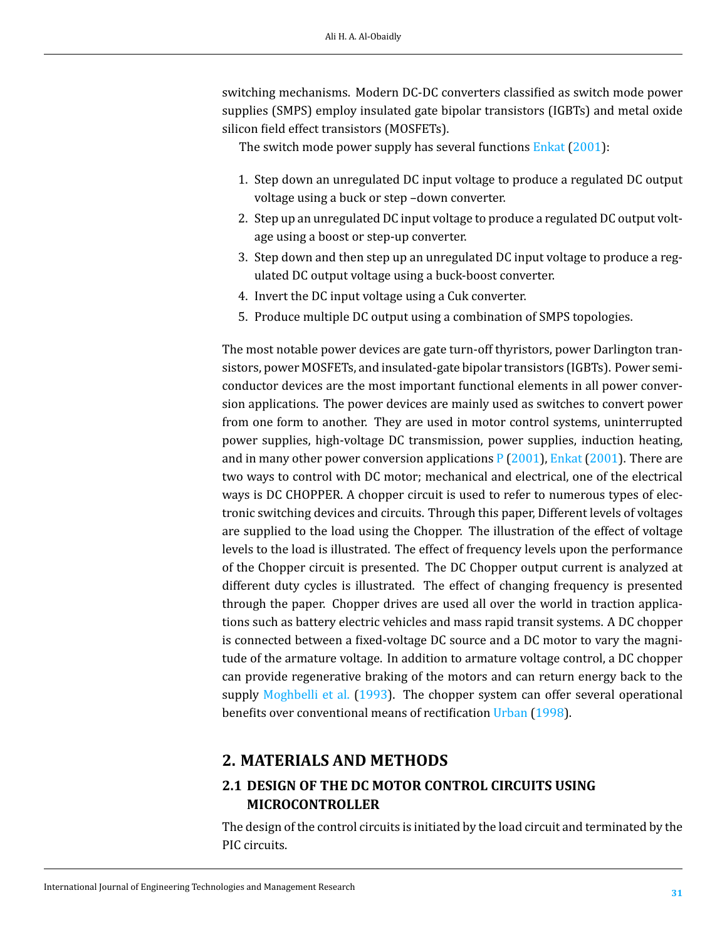switching mechanisms. Modern DC-DC converters classified as switch mode power supplies (SMPS) employ insulated gate bipolar transistors (IGBTs) and metal oxide silicon field effect transistors (MOSFETs).

The switch mode power supply has several functions [Enkat](#page-9-0) ([2001\)](#page-9-0):

- 1. Step down an unregulated DC input voltage to produce a regulated DC output voltage using a buck or step –down converter.
- 2. Step up an unregulated DC input voltage to produce a regulated DC output voltage using a boost or step-up converter.
- 3. Step down and then step up an unregulated DC input voltage to produce a regulated DC output voltage using a buck-boost converter.
- 4. Invert the DC input voltage using a Cuk converter.
- 5. Produce multiple DC output using a combination of SMPS topologies.

The most notable power devices are gate turn-off thyristors, power Darlington transistors, power MOSFETs, and insulated-gate bipolar transistors (IGBTs). Power semiconductor devices are the most important functional elements in all power conversion applications. The power devices are mainly used as switches to convert power from one form to another. They are used in motor control systems, uninterrupted power supplies, high-voltage DC transmission, power supplies, induction heating, and in many other power conversion applications  $P(2001)$  $P(2001)$  $P(2001)$ , [Enkat](#page-9-0) (2001). There are two ways to control with DC motor; mechanical and electrical, one of the electrical ways is DC CHOPPER. A chopper circuit is used to refer to numerous types of electronic switching devices and circuits. Through this paper, Different levels of voltages are supplied to the load using the Chopper. The illustration of the effect of voltage levels to the load is illustrated. The effect of frequency levels upon the performance of the Chopper circuit is presented. The DC Chopper output current is analyzed at different duty cycles is illustrated. The effect of changing frequency is presented through the paper. Chopper drives are used all over the world in traction applications such as battery electric vehicles and mass rapid transit systems. A DC chopper is connected between a fixed-voltage DC source and a DC motor to vary the magnitude of the armature voltage. In addition to armature voltage control, a DC chopper can provide regenerative braking of the motors and can return energy back to the supply [Moghbelli et al.](#page-9-4) [\(1993\)](#page-9-4). The chopper system can offer several operational benefits over conventional means of rectification [Urban](#page-9-5) [\(1998](#page-9-5)).

# **2. MATERIALS AND METHODS**

### **2.1 DESIGN OF THE DC MOTOR CONTROL CIRCUITS USING MICROCONTROLLER**

The design of the control circuits is initiated by the load circuit and terminated by the PIC circuits.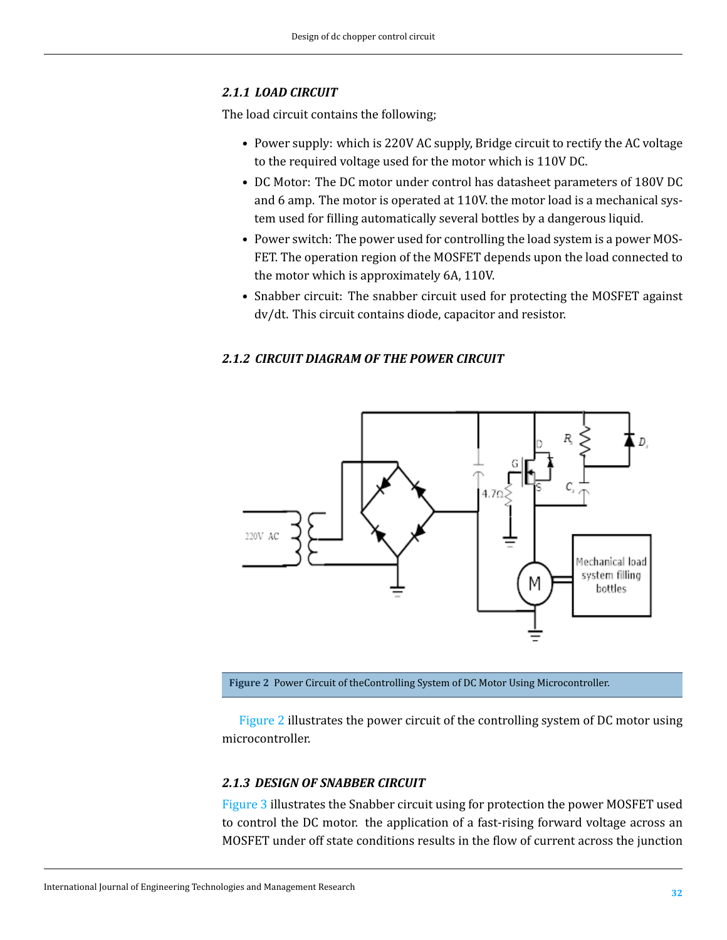#### *2.1.1 LOAD CIRCUIT*

The load circuit contains the following;

- Power supply: which is 220V AC supply, Bridge circuit to rectify the AC voltage to the required voltage used for the motor which is 110V DC.
- DC Motor: The DC motor under control has datasheet parameters of 180V DC and 6 amp. The motor is operated at 110V. the motor load is a mechanical system used for filling automatically several bottles by a dangerous liquid.
- Power switch: The power used for controlling the load system is a power MOS-FET. The operation region of the MOSFET depends upon the load connected to the motor which is approximately 6A, 110V.
- Snabber circuit: The snabber circuit used for protecting the MOSFET against dv/dt. This circuit contains diode, capacitor and resistor.

#### *2.1.2 CIRCUIT DIAGRAM OF THE POWER CIRCUIT*

<span id="page-3-0"></span>

**Figure 2** Power Circuit of theControlling System of DC Motor Using Microcontroller.

Figure [2](#page-3-0) illustrates the power circuit of the controlling system of DC motor using microcontroller.

#### *2.1.3 DESIGN OF SNABBER CIRCUIT*

Figure [3](#page-4-0) illustrates the Snabber circuit using for protection the power MOSFET used to control the DC motor. the application of a fast-rising forward voltage across an MOSFET under off state conditions results in the flow of current across the junction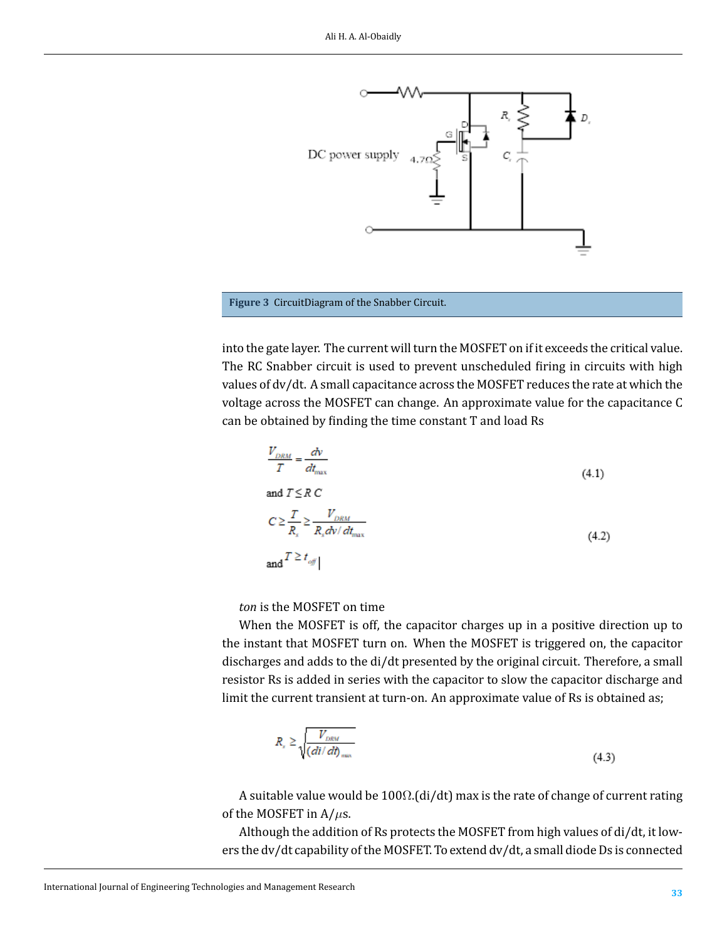<span id="page-4-0"></span>



into the gate layer. The current will turn the MOSFET on if it exceeds the critical value. The RC Snabber circuit is used to prevent unscheduled firing in circuits with high values of dv/dt. A small capacitance across the MOSFET reduces the rate at which the voltage across the MOSFET can change. An approximate value for the capacitance C can be obtained by finding the time constant T and load Rs

$$
\frac{V_{DRM}}{T} = \frac{dv}{dt_{\text{max}}}
$$
\n
$$
\text{and } T \leq R \text{ C}
$$
\n
$$
C \geq \frac{T}{R_s} \geq \frac{V_{DRM}}{R_s dv/dt_{\text{max}}}
$$
\n
$$
\text{and } T \geq t_{\text{off}}
$$
\n(4.2)

*ton* is the MOSFET on time

When the MOSFET is off, the capacitor charges up in a positive direction up to the instant that MOSFET turn on. When the MOSFET is triggered on, the capacitor discharges and adds to the di/dt presented by the original circuit. Therefore, a small resistor Rs is added in series with the capacitor to slow the capacitor discharge and limit the current transient at turn-on. An approximate value of Rs is obtained as;

$$
R_{s} \ge \sqrt{\frac{V_{\text{DRM}}}{(di/dt)_{\text{max}}}}
$$
(4.3)

A suitable value would be  $100\Omega$ .(di/dt) max is the rate of change of current rating of the MOSFET in A/*µ*s.

Although the addition of Rs protects the MOSFET from high values of di/dt, it lowers the dv/dt capability of the MOSFET. To extend dv/dt, a small diode Ds is connected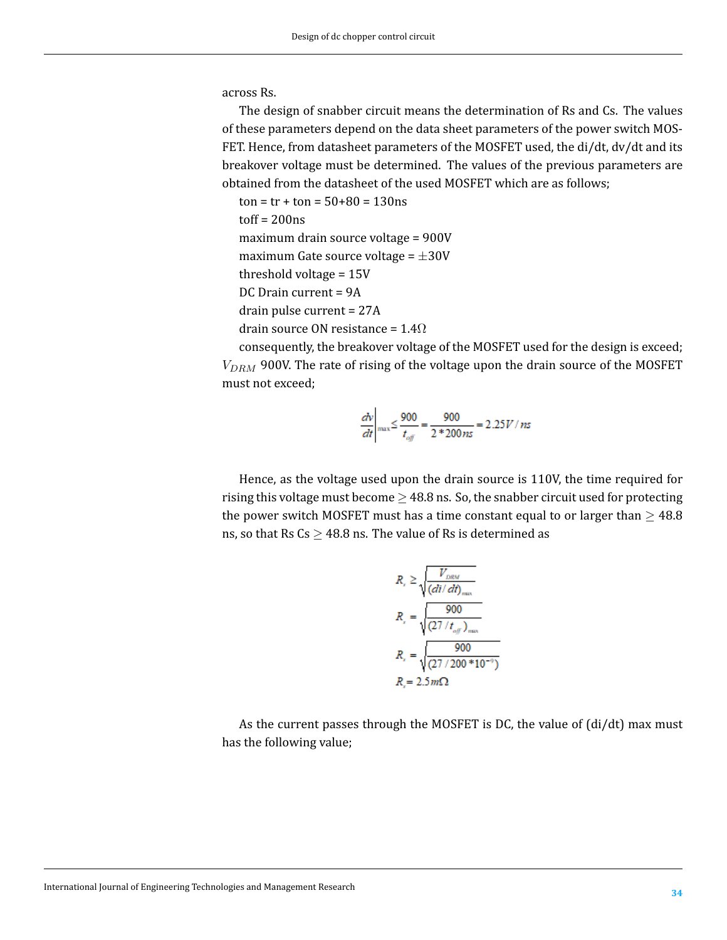across Rs.

The design of snabber circuit means the determination of Rs and Cs. The values of these parameters depend on the data sheet parameters of the power switch MOS-FET. Hence, from datasheet parameters of the MOSFET used, the di/dt, dv/dt and its breakover voltage must be determined. The values of the previous parameters are obtained from the datasheet of the used MOSFET which are as follows;

 $ton = tr + ton = 50 + 80 = 130$ ns  $toff = 200$ ns maximum drain source voltage = 900V maximum Gate source voltage = *±*30V threshold voltage = 15V DC Drain current = 9A drain pulse current = 27A drain source ON resistance =  $1.4\Omega$ 

consequently, the breakover voltage of the MOSFET used for the design is exceed; *VDRM* 900V. The rate of rising of the voltage upon the drain source of the MOSFET must not exceed;

$$
\left. \frac{dv}{dt} \right|_{\text{max}} \le \frac{900}{t_{\text{off}}} = \frac{900}{2 * 200 \, \text{ns}} = 2.25 V / \, \text{ns}
$$

Hence, as the voltage used upon the drain source is 110V, the time required for rising this voltage must become *≥* 48.8 ns. So, the snabber circuit used for protecting the power switch MOSFET must has a time constant equal to or larger than  $\geq$  48.8 ns, so that Rs Cs *≥* 48.8 ns. The value of Rs is determined as

$$
R_{s} \ge \sqrt{\frac{V_{DRM}}{(di/dt)_{max}}}
$$
  
\n
$$
R_{s} = \sqrt{\frac{900}{(27/t_{off})_{max}}}
$$
  
\n
$$
R_{s} = \sqrt{\frac{900}{(27/200 * 10^{-9})}}
$$
  
\n
$$
R = 2.5 m\Omega
$$

As the current passes through the MOSFET is DC, the value of (di/dt) max must has the following value;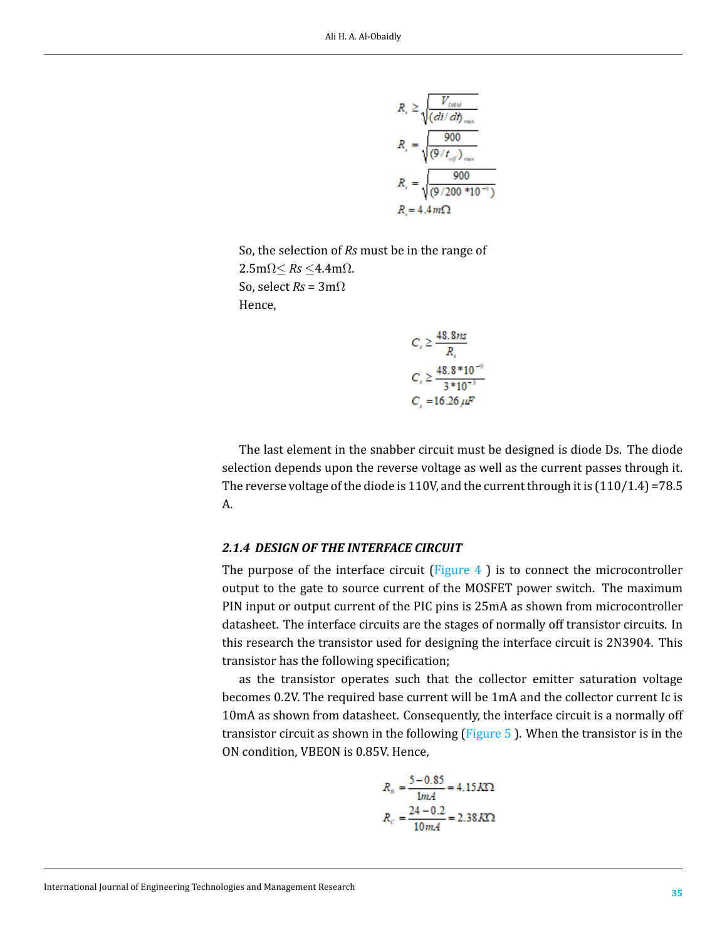$$
R_{x} \ge \sqrt{\frac{V_{DRM}}{(di/dt)_{max}}}
$$
\n
$$
R_{x} = \sqrt{\frac{900}{(9/t_{off})_{max}}}
$$
\n
$$
R_{x} = \sqrt{\frac{900}{(9/200 * 10^{-9})}}
$$
\n
$$
R_{x} = 4.4 m\Omega
$$

So, the selection of *Rs* must be in the range of 2.5mΩ*≤ Rs ≤*4.4mΩ. So, select *Rs* = 3mΩ Hence,

$$
C_s \ge \frac{48.8ns}{R_s}
$$
  

$$
C_s \ge \frac{48.8 * 10^{-3}}{3 * 10^{-3}}
$$
  

$$
C_s = 16.26 \,\mu\text{F}
$$

The last element in the snabber circuit must be designed is diode Ds. The diode selection depends upon the reverse voltage as well as the current passes through it. The reverse voltage of the diode is 110V, and the current through it is  $(110/1.4)$  =78.5 A.

#### *2.1.4 DESIGN OF THE INTERFACE CIRCUIT*

The purpose of the interface circuit  $\left(F_{\text{Figure 4}}\right)$  $\left(F_{\text{Figure 4}}\right)$  $\left(F_{\text{Figure 4}}\right)$  is to connect the microcontroller output to the gate to source current of the MOSFET power switch. The maximum PIN input or output current of the PIC pins is 25mA as shown from microcontroller datasheet. The interface circuits are the stages of normally off transistor circuits. In this research the transistor used for designing the interface circuit is 2N3904. This transistor has the following specification;

as the transistor operates such that the collector emitter saturation voltage becomes 0.2V. The required base current will be 1mA and the collector current Ic is 10mA as shown from datasheet. Consequently, the interface circuit is a normally off transistor circuit as shown in the following (Figure [5](#page-7-1) ). When the transistor is in the ON condition, VBEON is 0.85V. Hence,

$$
R_B = \frac{5 - 0.85}{1mA} = 4.15 K\Omega
$$

$$
R_C = \frac{24 - 0.2}{10 mA} = 2.38 K\Omega
$$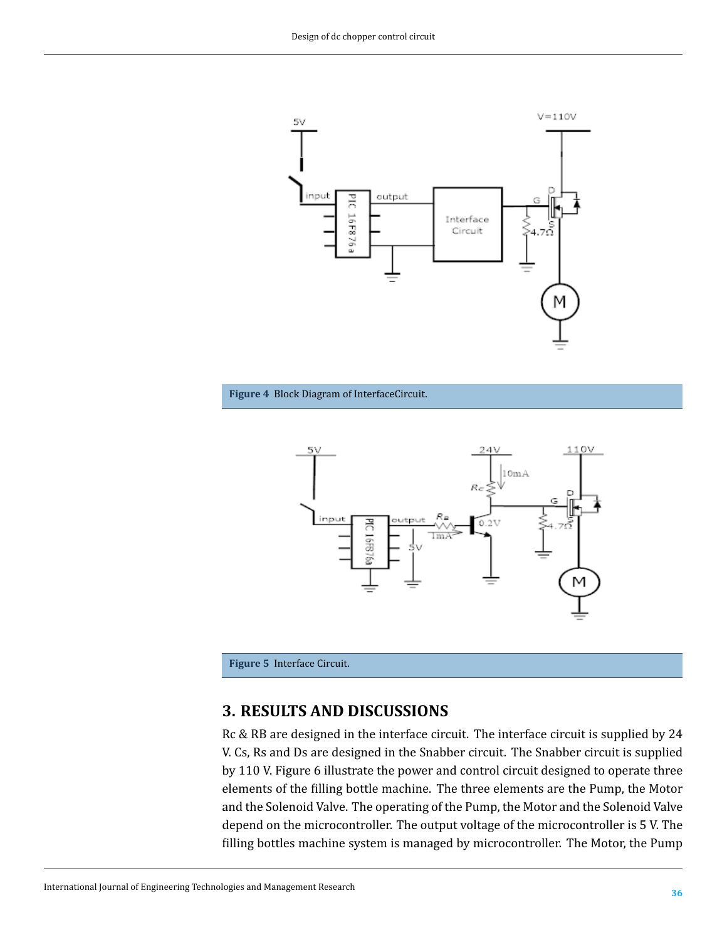<span id="page-7-0"></span>

<span id="page-7-1"></span>



**Figure 5** Interface Circuit.

# **3. RESULTS AND DISCUSSIONS**

Rc & RB are designed in the interface circuit. The interface circuit is supplied by 24 V. Cs, Rs and Ds are designed in the Snabber circuit. The Snabber circuit is supplied by 110 V. Figure 6 illustrate the power and control circuit designed to operate three elements of the filling bottle machine. The three elements are the Pump, the Motor and the Solenoid Valve. The operating of the Pump, the Motor and the Solenoid Valve depend on the microcontroller. The output voltage of the microcontroller is 5 V. The filling bottles machine system is managed by microcontroller. The Motor, the Pump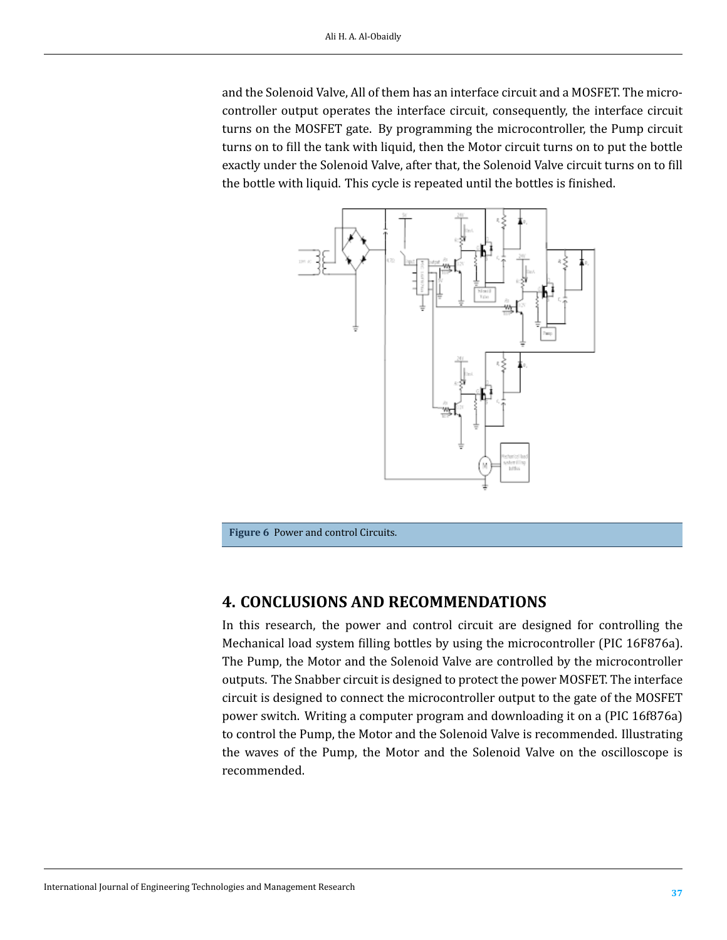and the Solenoid Valve, All of them has an interface circuit and a MOSFET. The microcontroller output operates the interface circuit, consequently, the interface circuit turns on the MOSFET gate. By programming the microcontroller, the Pump circuit turns on to fill the tank with liquid, then the Motor circuit turns on to put the bottle exactly under the Solenoid Valve, after that, the Solenoid Valve circuit turns on to fill the bottle with liquid. This cycle is repeated until the bottles is finished.



**Figure 6** Power and control Circuits.

# **4. CONCLUSIONS AND RECOMMENDATIONS**

In this research, the power and control circuit are designed for controlling the Mechanical load system filling bottles by using the microcontroller (PIC 16F876a). The Pump, the Motor and the Solenoid Valve are controlled by the microcontroller outputs. The Snabber circuit is designed to protect the power MOSFET. The interface circuit is designed to connect the microcontroller output to the gate of the MOSFET power switch. Writing a computer program and downloading it on a (PIC 16f876a) to control the Pump, the Motor and the Solenoid Valve is recommended. Illustrating the waves of the Pump, the Motor and the Solenoid Valve on the oscilloscope is recommended.